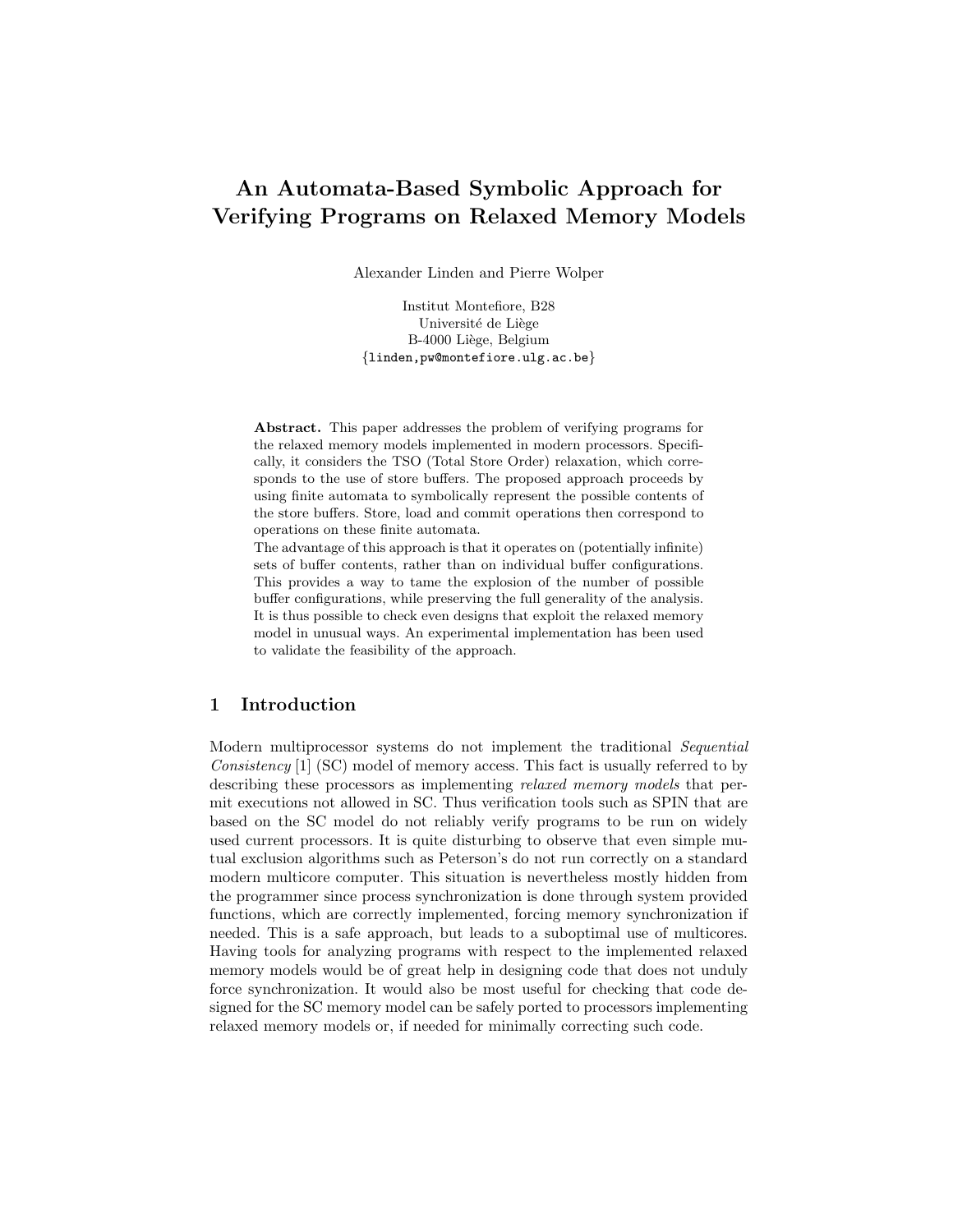# An Automata-Based Symbolic Approach for Verifying Programs on Relaxed Memory Models

Alexander Linden and Pierre Wolper

Institut Montefiore, B28 Université de Liège B-4000 Liège, Belgium {linden,pw@montefiore.ulg.ac.be}

Abstract. This paper addresses the problem of verifying programs for the relaxed memory models implemented in modern processors. Specifically, it considers the TSO (Total Store Order) relaxation, which corresponds to the use of store buffers. The proposed approach proceeds by using finite automata to symbolically represent the possible contents of the store buffers. Store, load and commit operations then correspond to operations on these finite automata.

The advantage of this approach is that it operates on (potentially infinite) sets of buffer contents, rather than on individual buffer configurations. This provides a way to tame the explosion of the number of possible buffer configurations, while preserving the full generality of the analysis. It is thus possible to check even designs that exploit the relaxed memory model in unusual ways. An experimental implementation has been used to validate the feasibility of the approach.

# 1 Introduction

Modern multiprocessor systems do not implement the traditional *Sequential* Consistency [1] (SC) model of memory access. This fact is usually referred to by describing these processors as implementing relaxed memory models that permit executions not allowed in SC. Thus verification tools such as SPIN that are based on the SC model do not reliably verify programs to be run on widely used current processors. It is quite disturbing to observe that even simple mutual exclusion algorithms such as Peterson's do not run correctly on a standard modern multicore computer. This situation is nevertheless mostly hidden from the programmer since process synchronization is done through system provided functions, which are correctly implemented, forcing memory synchronization if needed. This is a safe approach, but leads to a suboptimal use of multicores. Having tools for analyzing programs with respect to the implemented relaxed memory models would be of great help in designing code that does not unduly force synchronization. It would also be most useful for checking that code designed for the SC memory model can be safely ported to processors implementing relaxed memory models or, if needed for minimally correcting such code.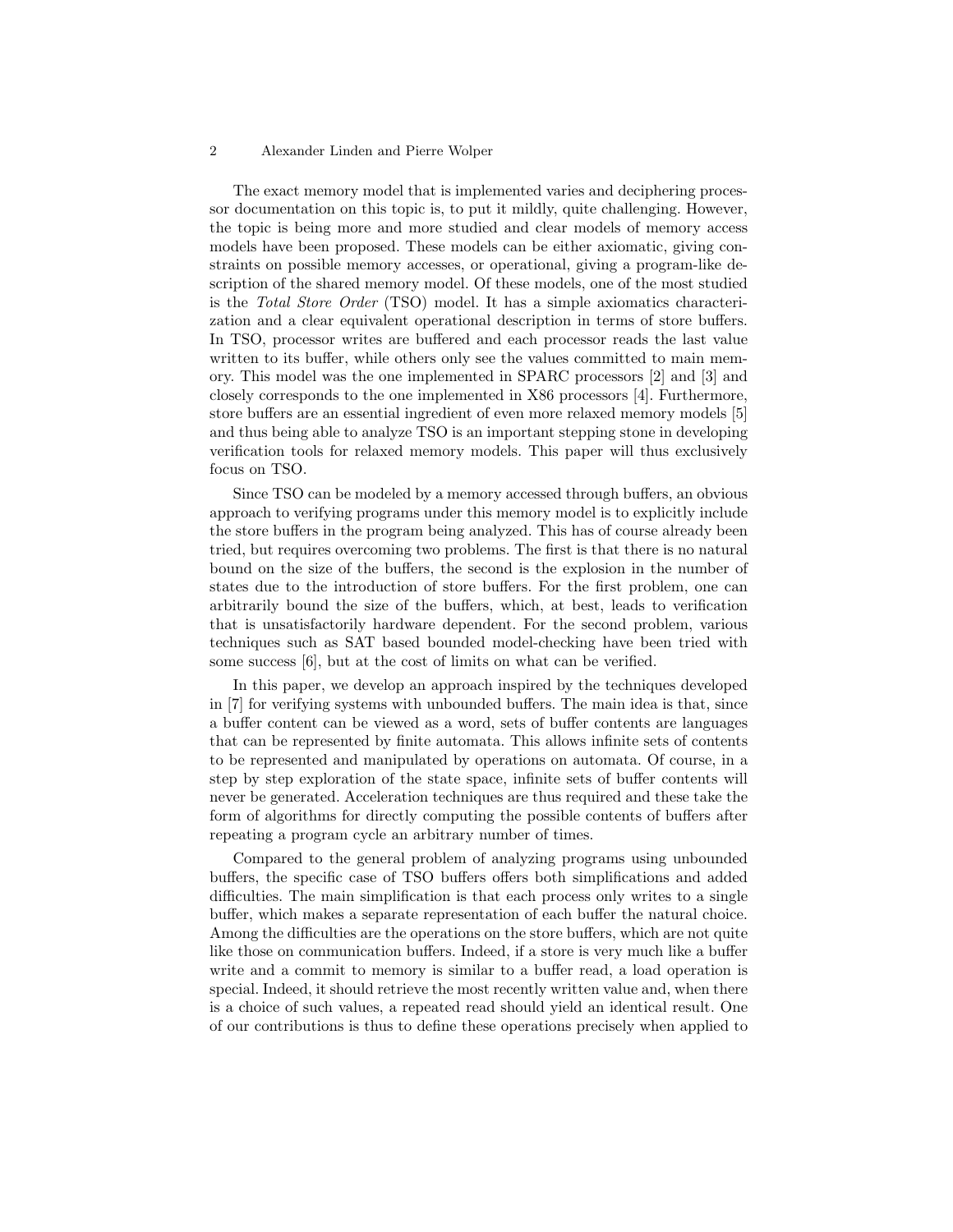The exact memory model that is implemented varies and deciphering processor documentation on this topic is, to put it mildly, quite challenging. However, the topic is being more and more studied and clear models of memory access models have been proposed. These models can be either axiomatic, giving constraints on possible memory accesses, or operational, giving a program-like description of the shared memory model. Of these models, one of the most studied is the Total Store Order (TSO) model. It has a simple axiomatics characterization and a clear equivalent operational description in terms of store buffers. In TSO, processor writes are buffered and each processor reads the last value written to its buffer, while others only see the values committed to main memory. This model was the one implemented in SPARC processors [2] and [3] and closely corresponds to the one implemented in X86 processors [4]. Furthermore, store buffers are an essential ingredient of even more relaxed memory models [5] and thus being able to analyze TSO is an important stepping stone in developing verification tools for relaxed memory models. This paper will thus exclusively focus on TSO.

Since TSO can be modeled by a memory accessed through buffers, an obvious approach to verifying programs under this memory model is to explicitly include the store buffers in the program being analyzed. This has of course already been tried, but requires overcoming two problems. The first is that there is no natural bound on the size of the buffers, the second is the explosion in the number of states due to the introduction of store buffers. For the first problem, one can arbitrarily bound the size of the buffers, which, at best, leads to verification that is unsatisfactorily hardware dependent. For the second problem, various techniques such as SAT based bounded model-checking have been tried with some success [6], but at the cost of limits on what can be verified.

In this paper, we develop an approach inspired by the techniques developed in [7] for verifying systems with unbounded buffers. The main idea is that, since a buffer content can be viewed as a word, sets of buffer contents are languages that can be represented by finite automata. This allows infinite sets of contents to be represented and manipulated by operations on automata. Of course, in a step by step exploration of the state space, infinite sets of buffer contents will never be generated. Acceleration techniques are thus required and these take the form of algorithms for directly computing the possible contents of buffers after repeating a program cycle an arbitrary number of times.

Compared to the general problem of analyzing programs using unbounded buffers, the specific case of TSO buffers offers both simplifications and added difficulties. The main simplification is that each process only writes to a single buffer, which makes a separate representation of each buffer the natural choice. Among the difficulties are the operations on the store buffers, which are not quite like those on communication buffers. Indeed, if a store is very much like a buffer write and a commit to memory is similar to a buffer read, a load operation is special. Indeed, it should retrieve the most recently written value and, when there is a choice of such values, a repeated read should yield an identical result. One of our contributions is thus to define these operations precisely when applied to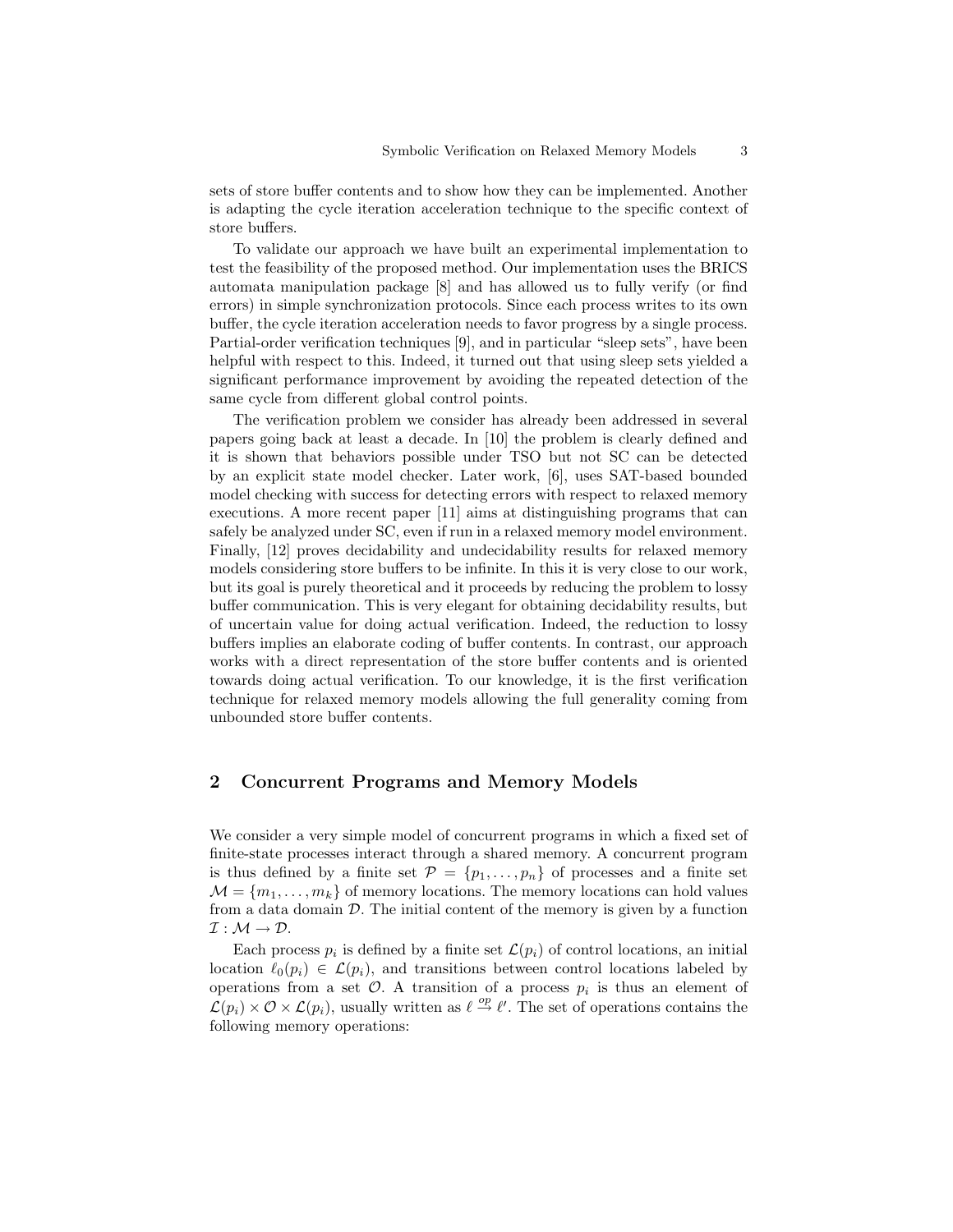sets of store buffer contents and to show how they can be implemented. Another is adapting the cycle iteration acceleration technique to the specific context of store buffers.

To validate our approach we have built an experimental implementation to test the feasibility of the proposed method. Our implementation uses the BRICS automata manipulation package [8] and has allowed us to fully verify (or find errors) in simple synchronization protocols. Since each process writes to its own buffer, the cycle iteration acceleration needs to favor progress by a single process. Partial-order verification techniques [9], and in particular "sleep sets", have been helpful with respect to this. Indeed, it turned out that using sleep sets yielded a significant performance improvement by avoiding the repeated detection of the same cycle from different global control points.

The verification problem we consider has already been addressed in several papers going back at least a decade. In [10] the problem is clearly defined and it is shown that behaviors possible under TSO but not SC can be detected by an explicit state model checker. Later work, [6], uses SAT-based bounded model checking with success for detecting errors with respect to relaxed memory executions. A more recent paper [11] aims at distinguishing programs that can safely be analyzed under SC, even if run in a relaxed memory model environment. Finally, [12] proves decidability and undecidability results for relaxed memory models considering store buffers to be infinite. In this it is very close to our work, but its goal is purely theoretical and it proceeds by reducing the problem to lossy buffer communication. This is very elegant for obtaining decidability results, but of uncertain value for doing actual verification. Indeed, the reduction to lossy buffers implies an elaborate coding of buffer contents. In contrast, our approach works with a direct representation of the store buffer contents and is oriented towards doing actual verification. To our knowledge, it is the first verification technique for relaxed memory models allowing the full generality coming from unbounded store buffer contents.

# 2 Concurrent Programs and Memory Models

We consider a very simple model of concurrent programs in which a fixed set of finite-state processes interact through a shared memory. A concurrent program is thus defined by a finite set  $\mathcal{P} = \{p_1, \ldots, p_n\}$  of processes and a finite set  $\mathcal{M} = \{m_1, \ldots, m_k\}$  of memory locations. The memory locations can hold values from a data domain  $\mathcal{D}$ . The initial content of the memory is given by a function  $\mathcal{I}: \mathcal{M} \to \mathcal{D}.$ 

Each process  $p_i$  is defined by a finite set  $\mathcal{L}(p_i)$  of control locations, an initial location  $\ell_0(p_i) \in \mathcal{L}(p_i)$ , and transitions between control locations labeled by operations from a set  $\mathcal{O}$ . A transition of a process  $p_i$  is thus an element of  $\mathcal{L}(p_i) \times \mathcal{O} \times \mathcal{L}(p_i)$ , usually written as  $\ell \stackrel{op}{\to} \ell'$ . The set of operations contains the following memory operations: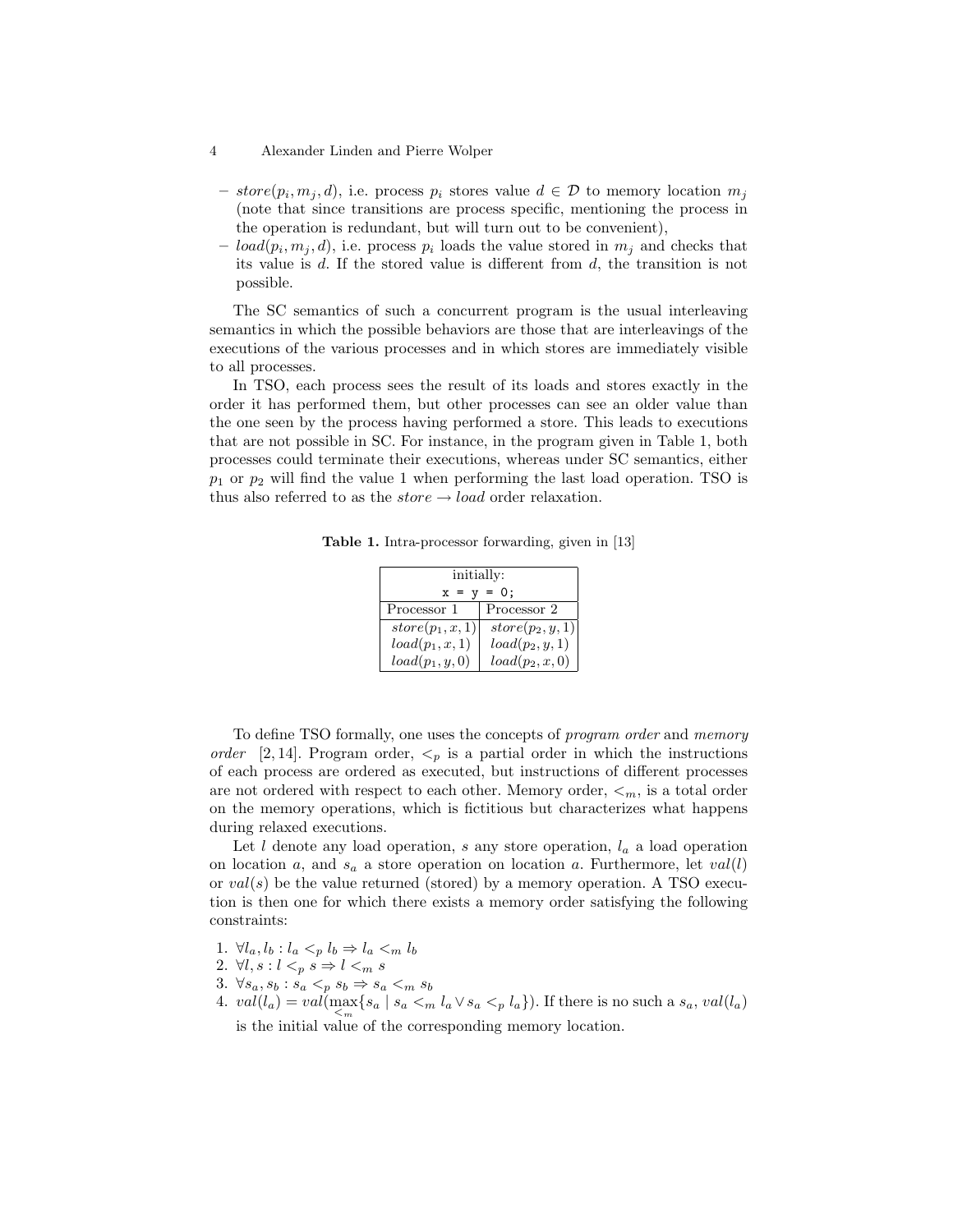- $store(p_i, m_j, d)$ , i.e. process  $p_i$  stores value  $d \in \mathcal{D}$  to memory location  $m_j$ (note that since transitions are process specific, mentioning the process in the operation is redundant, but will turn out to be convenient),
- $-$  load $(p_i, m_j, d)$ , i.e. process  $p_i$  loads the value stored in  $m_j$  and checks that its value is  $d$ . If the stored value is different from  $d$ , the transition is not possible.

The SC semantics of such a concurrent program is the usual interleaving semantics in which the possible behaviors are those that are interleavings of the executions of the various processes and in which stores are immediately visible to all processes.

In TSO, each process sees the result of its loads and stores exactly in the order it has performed them, but other processes can see an older value than the one seen by the process having performed a store. This leads to executions that are not possible in SC. For instance, in the program given in Table 1, both processes could terminate their executions, whereas under SC semantics, either  $p_1$  or  $p_2$  will find the value 1 when performing the last load operation. TSO is thus also referred to as the  $store \rightarrow load$  order relaxation.

Table 1. Intra-processor forwarding, given in [13]

| initially:         |                    |  |  |  |  |  |
|--------------------|--------------------|--|--|--|--|--|
| $x = y = 0$ ;      |                    |  |  |  |  |  |
| Processor 1        | Processor 2        |  |  |  |  |  |
| $store(p_1, x, 1)$ | $store(p_2, y, 1)$ |  |  |  |  |  |
| $load(p_1, x, 1)$  | $load(p_2, y, 1)$  |  |  |  |  |  |
| $load(p_1, y, 0)$  | $load(p_2, x, 0)$  |  |  |  |  |  |

To define TSO formally, one uses the concepts of program order and memory order [2, 14]. Program order,  $\lt_p$  is a partial order in which the instructions of each process are ordered as executed, but instructions of different processes are not ordered with respect to each other. Memory order,  $\lt_m$ , is a total order on the memory operations, which is fictitious but characterizes what happens during relaxed executions.

Let  $l$  denote any load operation,  $s$  any store operation,  $l_a$  a load operation on location a, and  $s_a$  a store operation on location a. Furthermore, let  $val(l)$ or  $val(s)$  be the value returned (stored) by a memory operation. A TSO execution is then one for which there exists a memory order satisfying the following constraints:

- 1.  $\forall l_a, l_b : l_a <_p l_b \Rightarrow l_a <_m l_b$
- 2.  $\forall l, s : l \leq_p s \Rightarrow l \leq_m s$
- 3.  $\forall s_a, s_b : s_a \leq_p s_b \Rightarrow s_a \leq_m s_b$
- 4.  $val(l_a) = val(\max_{\leq m} \{s_a \mid s_a \leq m l_a \vee s_a \leq p l_a\})$ . If there is no such a  $s_a$ ,  $val(l_a)$ is the initial value of the corresponding memory location.

<sup>4</sup> Alexander Linden and Pierre Wolper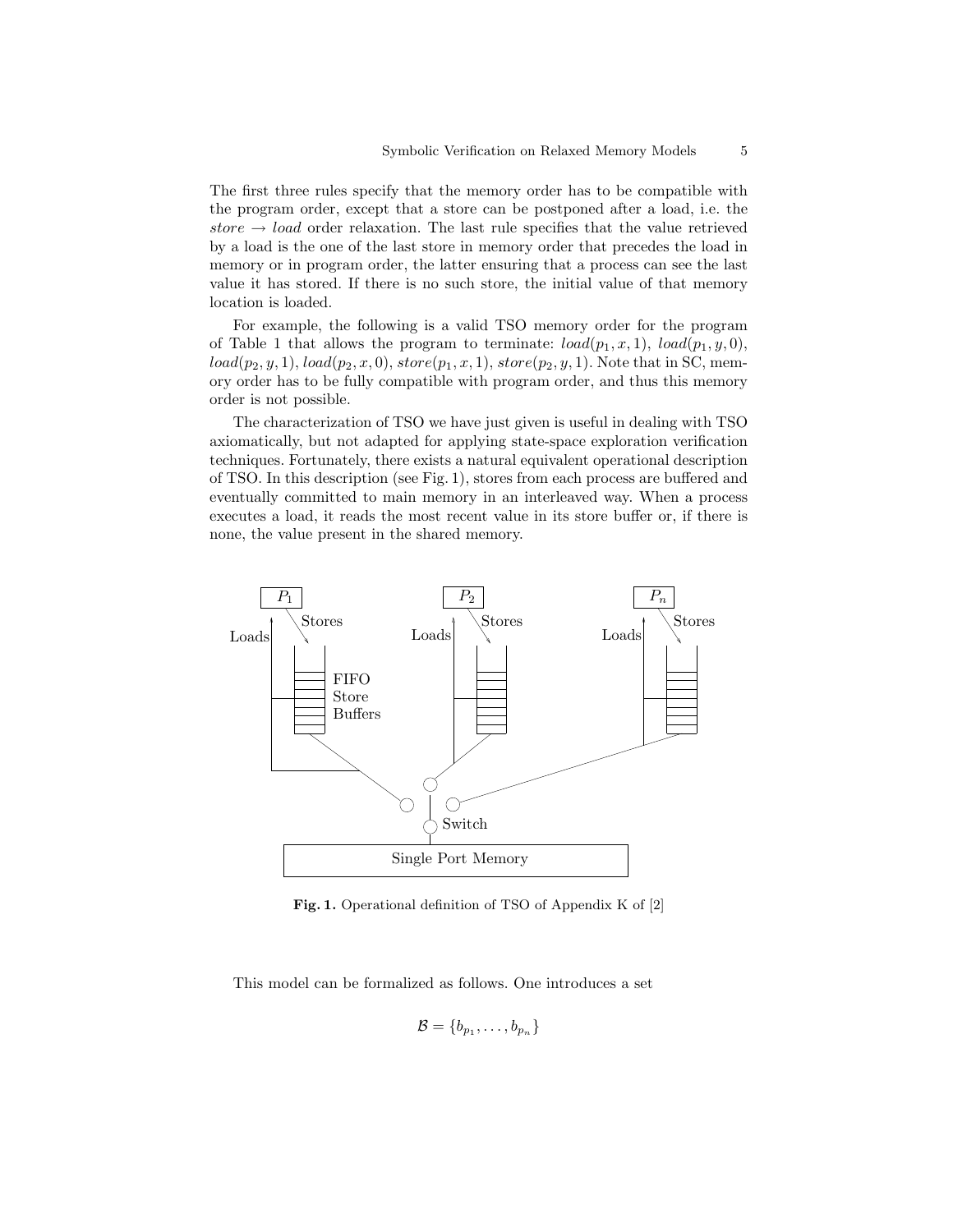The first three rules specify that the memory order has to be compatible with the program order, except that a store can be postponed after a load, i.e. the store  $\rightarrow$  load order relaxation. The last rule specifies that the value retrieved by a load is the one of the last store in memory order that precedes the load in memory or in program order, the latter ensuring that a process can see the last value it has stored. If there is no such store, the initial value of that memory location is loaded.

For example, the following is a valid TSO memory order for the program of Table 1 that allows the program to terminate:  $load(p_1, x, 1), load(p_1, y, 0),$  $load(p_2, y, 1), load(p_2, x, 0), store(p_1, x, 1), store(p_2, y, 1).$  Note that in SC, memory order has to be fully compatible with program order, and thus this memory order is not possible.

The characterization of TSO we have just given is useful in dealing with TSO axiomatically, but not adapted for applying state-space exploration verification techniques. Fortunately, there exists a natural equivalent operational description of TSO. In this description (see Fig. 1), stores from each process are buffered and eventually committed to main memory in an interleaved way. When a process executes a load, it reads the most recent value in its store buffer or, if there is none, the value present in the shared memory.



Fig. 1. Operational definition of TSO of Appendix K of [2]

This model can be formalized as follows. One introduces a set

$$
\mathcal{B} = \{b_{p_1}, \ldots, b_{p_n}\}
$$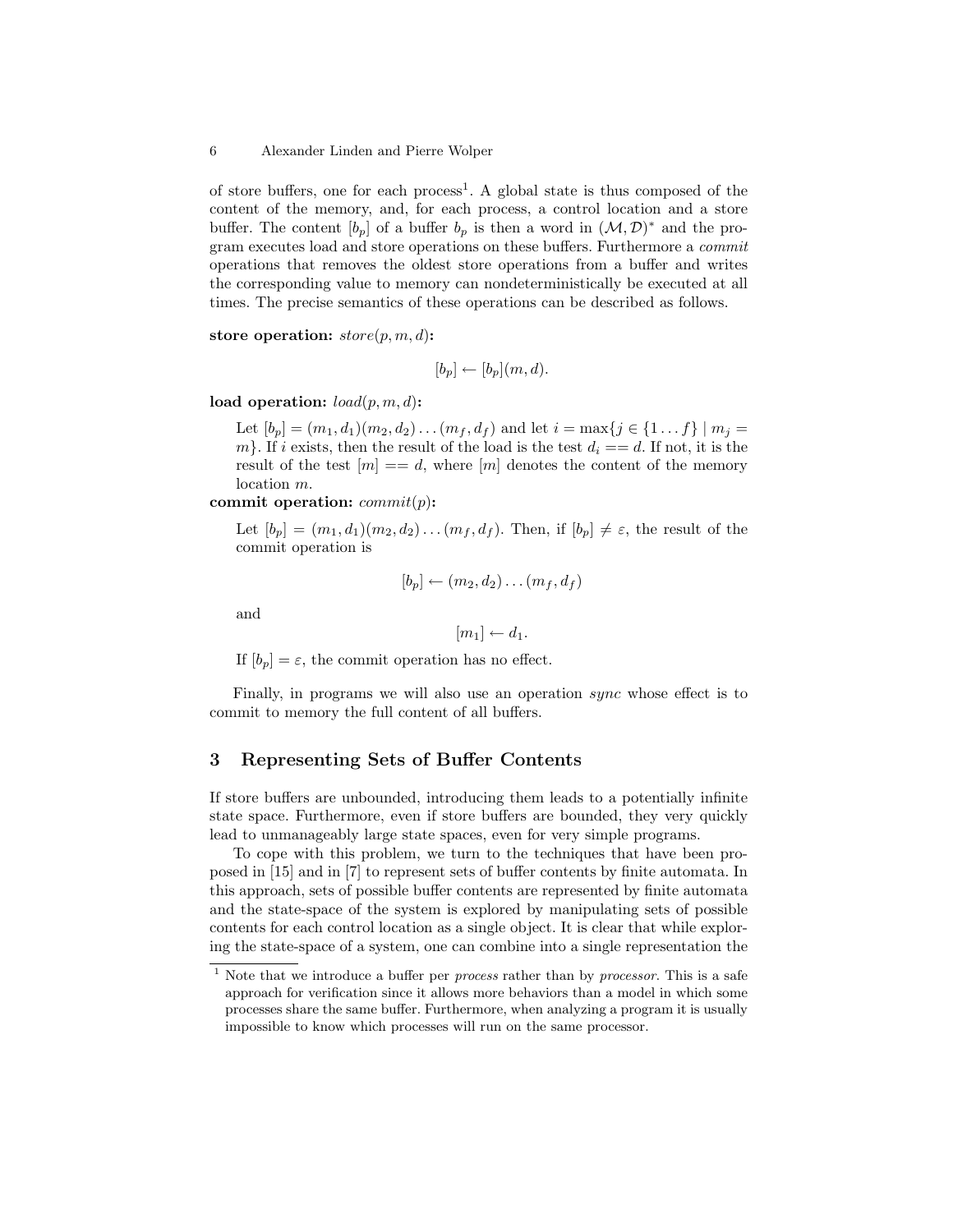of store buffers, one for each process<sup>1</sup>. A global state is thus composed of the content of the memory, and, for each process, a control location and a store buffer. The content  $[b_p]$  of a buffer  $b_p$  is then a word in  $(\mathcal{M}, \mathcal{D})^*$  and the program executes load and store operations on these buffers. Furthermore a commit operations that removes the oldest store operations from a buffer and writes the corresponding value to memory can nondeterministically be executed at all times. The precise semantics of these operations can be described as follows.

store operation:  $store(p, m, d)$ :

$$
[b_p] \leftarrow [b_p](m, d).
$$

load operation:  $load(p, m, d)$ :

Let  $[b_p] = (m_1, d_1)(m_2, d_2) \dots (m_f, d_f)$  and let  $i = \max\{j \in \{1 \dots f\} \mid m_j =$ m}. If i exists, then the result of the load is the test  $d_i == d$ . If not, it is the result of the test  $[m] == d$ , where  $[m]$  denotes the content of the memory location m.

commit operation:  $commit(p)$ :

Let  $[b_p] = (m_1, d_1)(m_2, d_2) \dots (m_f, d_f)$ . Then, if  $[b_p] \neq \varepsilon$ , the result of the commit operation is

$$
[b_p] \leftarrow (m_2, d_2) \dots (m_f, d_f)
$$

and

$$
[m_1] \leftarrow d_1.
$$

If  $[b_p] = \varepsilon$ , the commit operation has no effect.

Finally, in programs we will also use an operation sync whose effect is to commit to memory the full content of all buffers.

# 3 Representing Sets of Buffer Contents

If store buffers are unbounded, introducing them leads to a potentially infinite state space. Furthermore, even if store buffers are bounded, they very quickly lead to unmanageably large state spaces, even for very simple programs.

To cope with this problem, we turn to the techniques that have been proposed in [15] and in [7] to represent sets of buffer contents by finite automata. In this approach, sets of possible buffer contents are represented by finite automata and the state-space of the system is explored by manipulating sets of possible contents for each control location as a single object. It is clear that while exploring the state-space of a system, one can combine into a single representation the

 $1$  Note that we introduce a buffer per *process* rather than by *processor*. This is a safe approach for verification since it allows more behaviors than a model in which some processes share the same buffer. Furthermore, when analyzing a program it is usually impossible to know which processes will run on the same processor.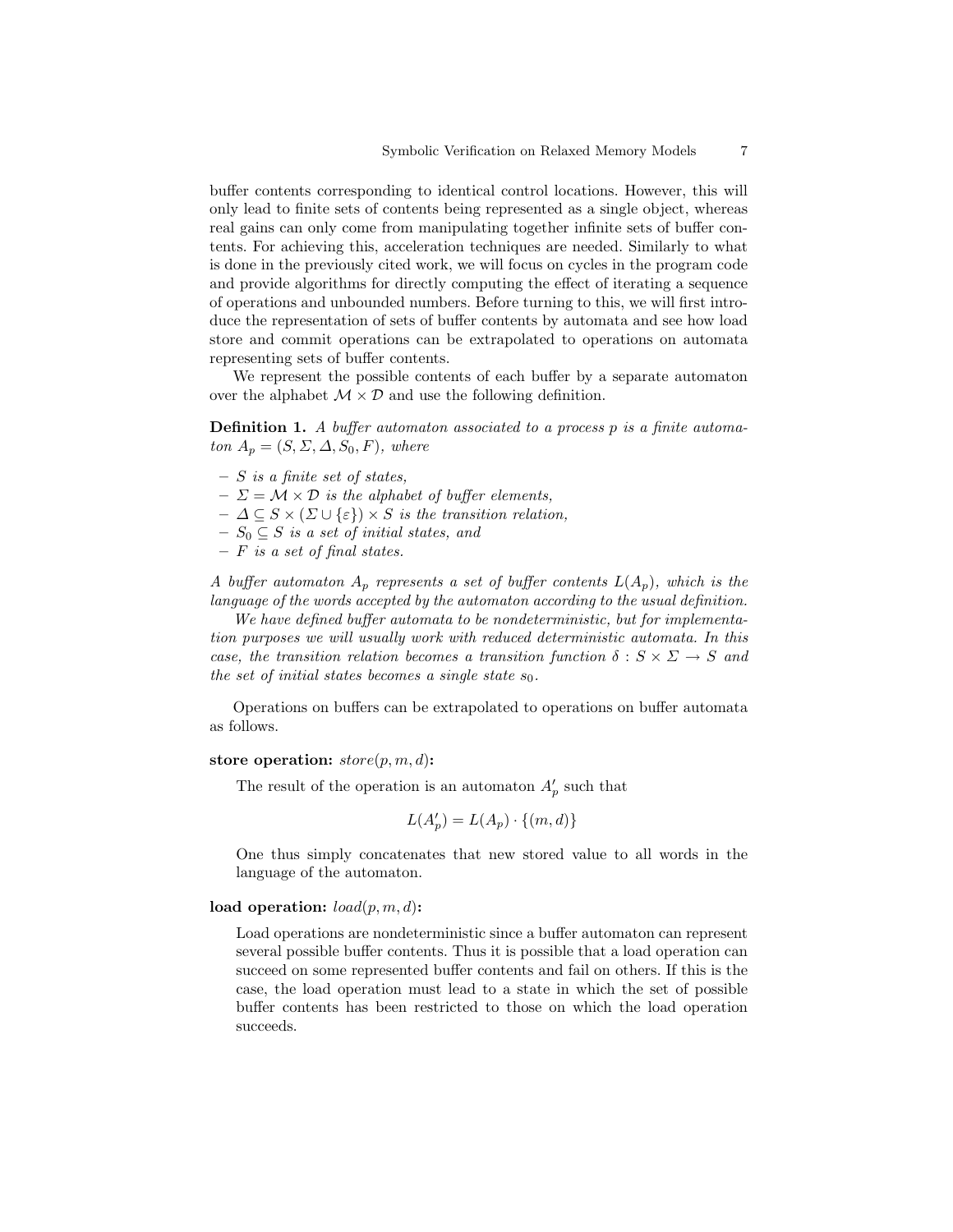buffer contents corresponding to identical control locations. However, this will only lead to finite sets of contents being represented as a single object, whereas real gains can only come from manipulating together infinite sets of buffer contents. For achieving this, acceleration techniques are needed. Similarly to what is done in the previously cited work, we will focus on cycles in the program code and provide algorithms for directly computing the effect of iterating a sequence of operations and unbounded numbers. Before turning to this, we will first introduce the representation of sets of buffer contents by automata and see how load store and commit operations can be extrapolated to operations on automata representing sets of buffer contents.

We represent the possible contents of each buffer by a separate automaton over the alphabet  $\mathcal{M} \times \mathcal{D}$  and use the following definition.

**Definition 1.** A buffer automaton associated to a process  $p$  is a finite automaton  $A_p = (S, \Sigma, \Delta, S_0, F)$ , where

- $S$  is a finite set of states,
- $-\Sigma = \mathcal{M} \times \mathcal{D}$  is the alphabet of buffer elements,
- $\Delta \subseteq S \times (\Sigma \cup \{\varepsilon\}) \times S$  is the transition relation,
- $-S_0 \subseteq S$  is a set of initial states, and
- $-$  F is a set of final states.

A buffer automaton  $A_p$  represents a set of buffer contents  $L(A_p)$ , which is the language of the words accepted by the automaton according to the usual definition.

We have defined buffer automata to be nondeterministic, but for implementation purposes we will usually work with reduced deterministic automata. In this case, the transition relation becomes a transition function  $\delta : S \times \Sigma \rightarrow S$  and the set of initial states becomes a single state  $s_0$ .

Operations on buffers can be extrapolated to operations on buffer automata as follows.

#### store operation:  $store(p, m, d)$ :

The result of the operation is an automaton  $A'_p$  such that

$$
L(A_p') = L(A_p) \cdot \{(m, d)\}
$$

One thus simply concatenates that new stored value to all words in the language of the automaton.

### load operation:  $load(p, m, d)$ :

Load operations are nondeterministic since a buffer automaton can represent several possible buffer contents. Thus it is possible that a load operation can succeed on some represented buffer contents and fail on others. If this is the case, the load operation must lead to a state in which the set of possible buffer contents has been restricted to those on which the load operation succeeds.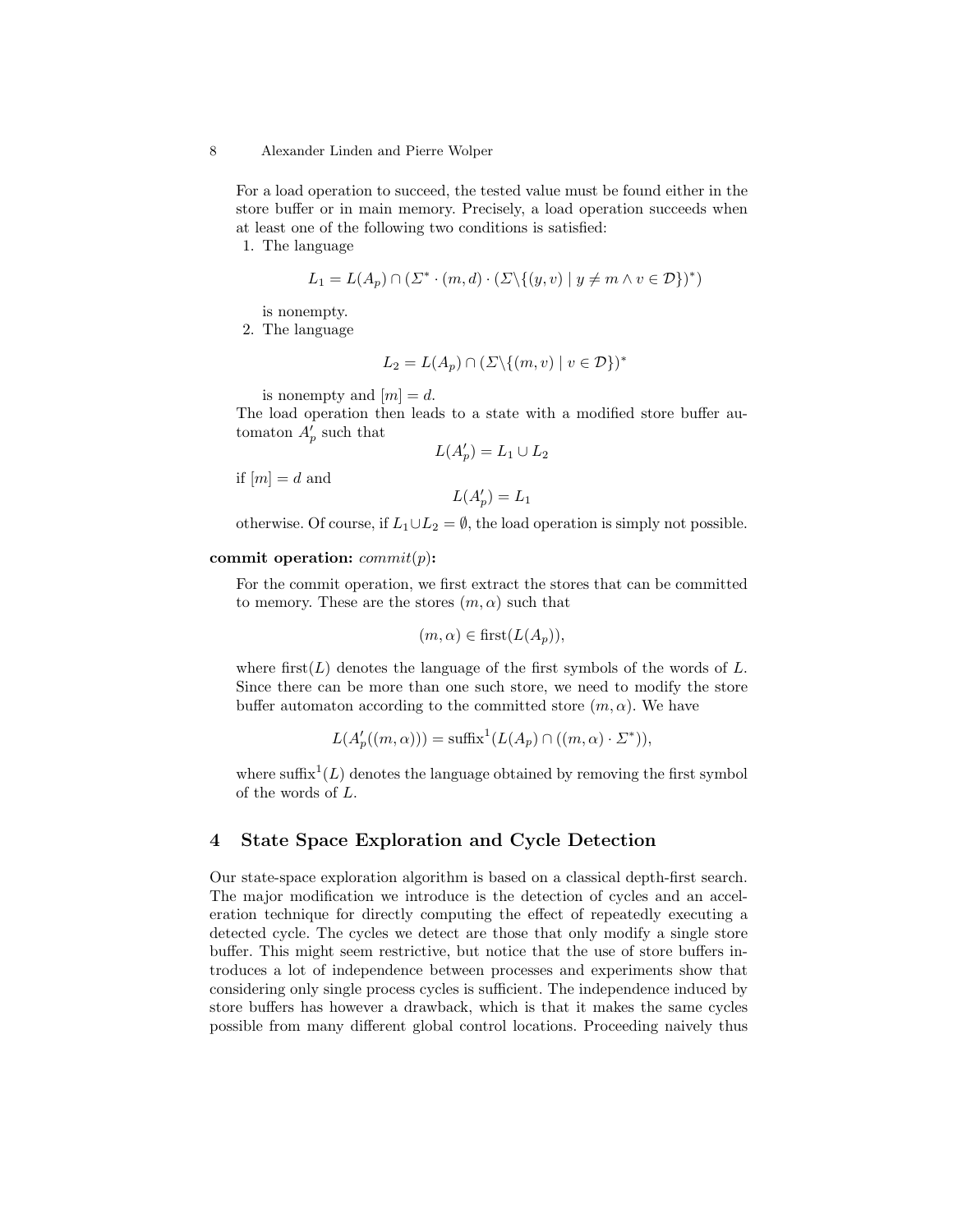For a load operation to succeed, the tested value must be found either in the store buffer or in main memory. Precisely, a load operation succeeds when at least one of the following two conditions is satisfied:

1. The language

$$
L_1 = L(A_p) \cap (\Sigma^* \cdot (m, d) \cdot (\Sigma \setminus \{(y, v) \mid y \neq m \land v \in \mathcal{D}\})^*)
$$

is nonempty.

2. The language

$$
L_2 = L(A_p) \cap (\Sigma \setminus \{(m, v) \mid v \in \mathcal{D}\})^*
$$

is nonempty and  $[m] = d$ .

The load operation then leads to a state with a modified store buffer automaton  $A'_p$  such that

$$
L(A_p') = L_1 \cup L_2
$$

if  $[m] = d$  and

$$
L(A_p') = L_1
$$

otherwise. Of course, if  $L_1 \cup L_2 = \emptyset$ , the load operation is simply not possible.

#### commit operation:  $commit(p)$ :

For the commit operation, we first extract the stores that can be committed to memory. These are the stores  $(m, \alpha)$  such that

$$
(m, \alpha) \in \text{first}(L(A_p)),
$$

where first $(L)$  denotes the language of the first symbols of the words of L. Since there can be more than one such store, we need to modify the store buffer automaton according to the committed store  $(m, \alpha)$ . We have

$$
L(A'_{p}((m,\alpha))) = \text{suffix}^{1}(L(A_{p}) \cap ((m,\alpha) \cdot \Sigma^{*})),
$$

where suffix<sup>1</sup> $(L)$  denotes the language obtained by removing the first symbol of the words of L.

# 4 State Space Exploration and Cycle Detection

Our state-space exploration algorithm is based on a classical depth-first search. The major modification we introduce is the detection of cycles and an acceleration technique for directly computing the effect of repeatedly executing a detected cycle. The cycles we detect are those that only modify a single store buffer. This might seem restrictive, but notice that the use of store buffers introduces a lot of independence between processes and experiments show that considering only single process cycles is sufficient. The independence induced by store buffers has however a drawback, which is that it makes the same cycles possible from many different global control locations. Proceeding naively thus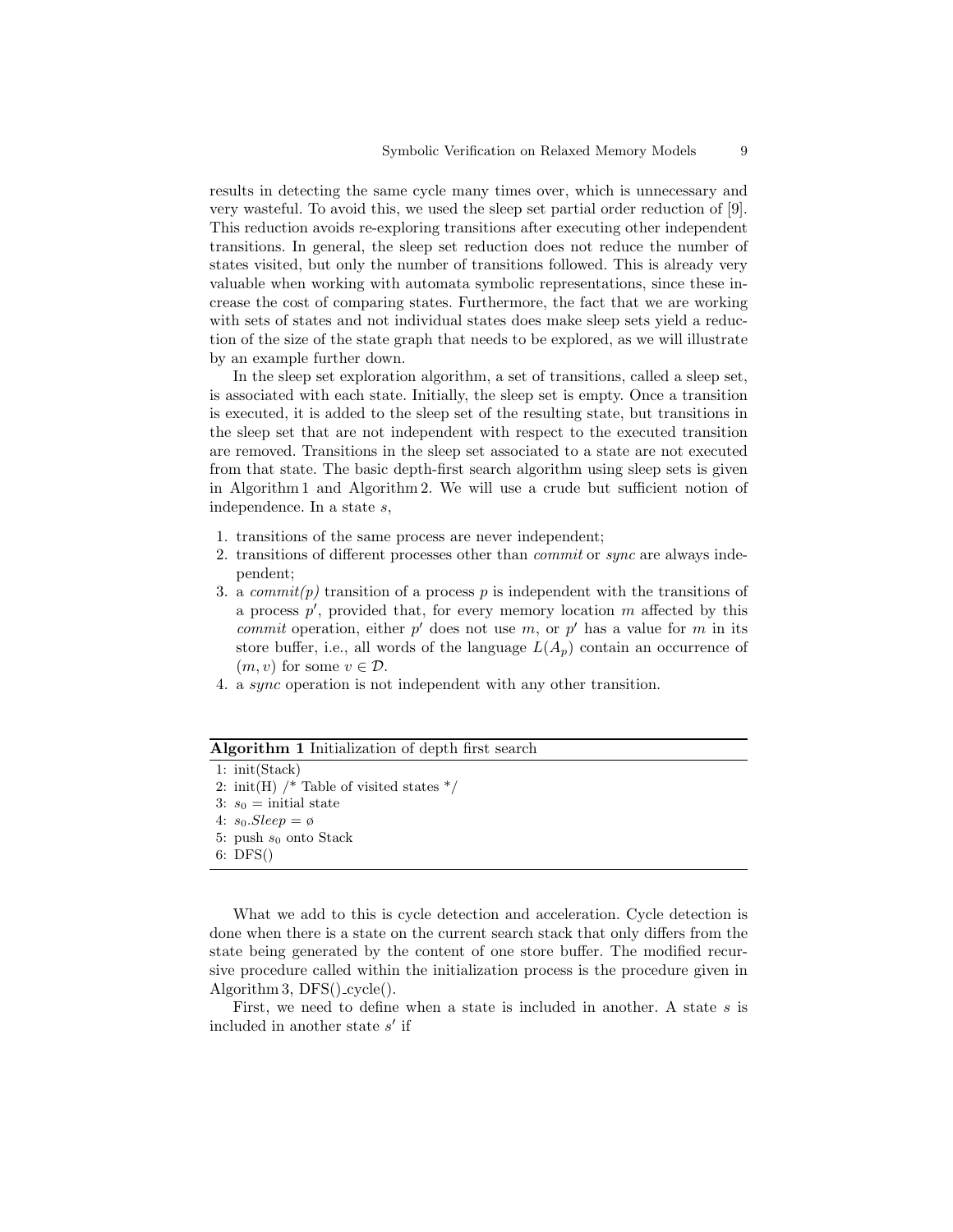results in detecting the same cycle many times over, which is unnecessary and very wasteful. To avoid this, we used the sleep set partial order reduction of [9]. This reduction avoids re-exploring transitions after executing other independent transitions. In general, the sleep set reduction does not reduce the number of states visited, but only the number of transitions followed. This is already very valuable when working with automata symbolic representations, since these increase the cost of comparing states. Furthermore, the fact that we are working with sets of states and not individual states does make sleep sets yield a reduction of the size of the state graph that needs to be explored, as we will illustrate by an example further down.

In the sleep set exploration algorithm, a set of transitions, called a sleep set, is associated with each state. Initially, the sleep set is empty. Once a transition is executed, it is added to the sleep set of the resulting state, but transitions in the sleep set that are not independent with respect to the executed transition are removed. Transitions in the sleep set associated to a state are not executed from that state. The basic depth-first search algorithm using sleep sets is given in Algorithm 1 and Algorithm 2. We will use a crude but sufficient notion of independence. In a state s,

- 1. transitions of the same process are never independent;
- 2. transitions of different processes other than commit or sync are always independent;
- 3. a *commit(p)* transition of a process p is independent with the transitions of a process  $p'$ , provided that, for every memory location m affected by this commit operation, either  $p'$  does not use m, or  $p'$  has a value for m in its store buffer, i.e., all words of the language  $L(A_n)$  contain an occurrence of  $(m, v)$  for some  $v \in \mathcal{D}$ .
- 4. a sync operation is not independent with any other transition.

| <b>Algorithm 1</b> Initialization of depth first search           |  |
|-------------------------------------------------------------------|--|
| 1: $init(Stack)$                                                  |  |
| 2: init(H) $\mathcal{V}^*$ Table of visited states $\mathcal{V}'$ |  |
| 3: $s_0 =$ initial state                                          |  |
| 4: $s_0.Sleep = \emptyset$                                        |  |

<sup>5:</sup> push  $s_0$  onto Stack

What we add to this is cycle detection and acceleration. Cycle detection is done when there is a state on the current search stack that only differs from the state being generated by the content of one store buffer. The modified recursive procedure called within the initialization process is the procedure given in Algorithm 3,  $DFS() \cycle()$ .

First, we need to define when a state is included in another. A state s is included in another state  $s'$  if

<sup>6:</sup> DFS()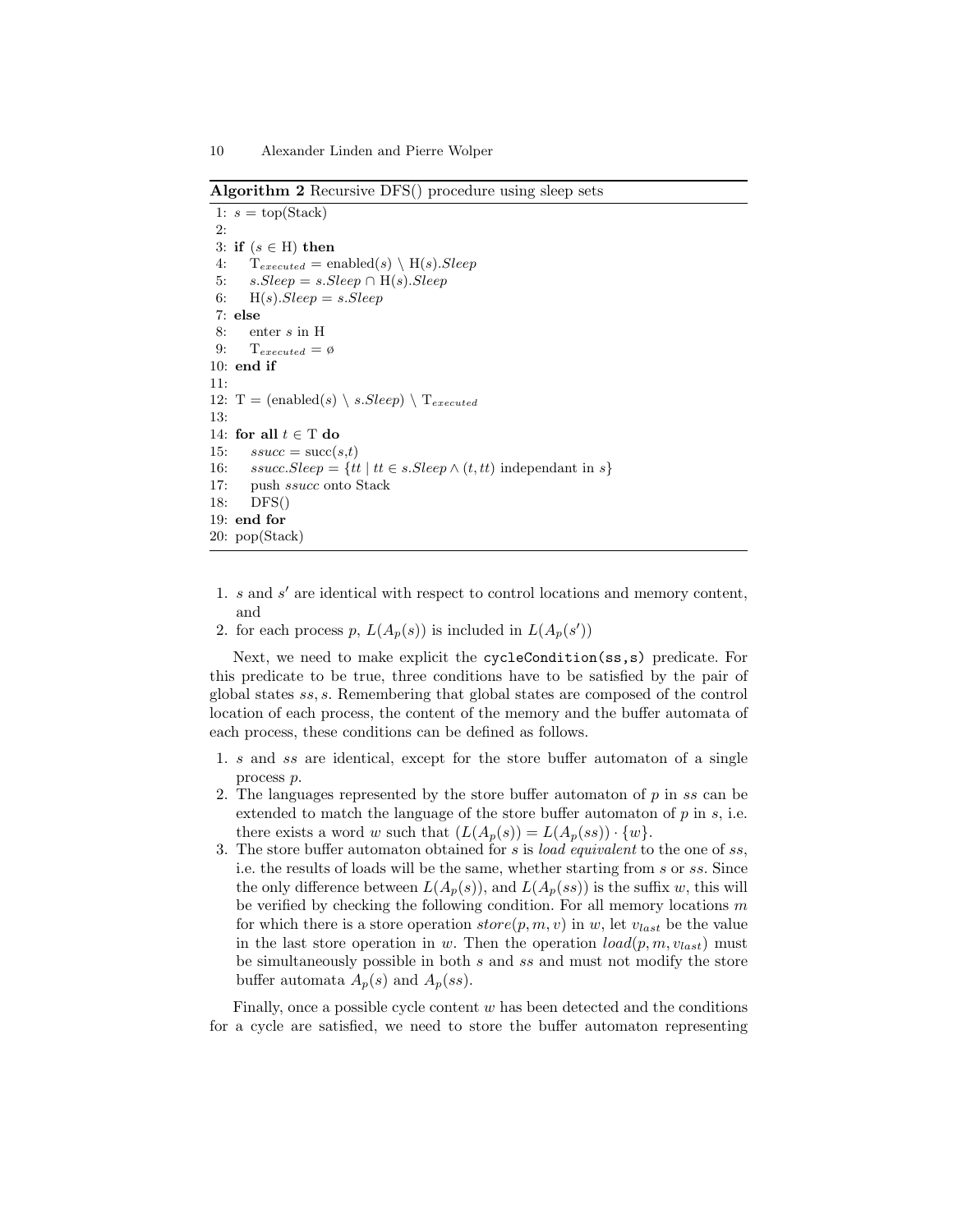Algorithm 2 Recursive DFS() procedure using sleep sets

```
1: s = \text{top}(\text{Stack})2:
 3: if (s \in H) then
 4: T_{executed} = enabled(s) \setminus H(s).sleep5: s. \text{Sleep} = s. \text{Sleep} \cap H(s). \text{Sleep}6: H(s).Sleep = s.Sleep7: else
 8: enter s in H
9: T_{executed} = \emptyset10: end if
11:
12: T = (enabeled(s) \setminus s.sleep) \setminus T_{executed}13:
14: for all t\in\mathcal{T} do
15: ssucc = succ(s,t)16: ssucc.Sleep = {tt | tt ∈ s.Sleep \wedge (t, tt) independant in s}
17: push ssucc onto Stack
18: DFS()
19: end for
20: pop(Stack)
```
- 1.  $s$  and  $s'$  are identical with respect to control locations and memory content, and
- 2. for each process p,  $L(A_p(s))$  is included in  $L(A_p(s'))$

Next, we need to make explicit the cycleCondition(ss,s) predicate. For this predicate to be true, three conditions have to be satisfied by the pair of global states ss, s. Remembering that global states are composed of the control location of each process, the content of the memory and the buffer automata of each process, these conditions can be defined as follows.

- 1. s and ss are identical, except for the store buffer automaton of a single process p.
- 2. The languages represented by the store buffer automaton of  $p$  in ss can be extended to match the language of the store buffer automaton of  $p$  in  $s$ , i.e. there exists a word w such that  $(L(A_p(s)) = L(A_p(ss)) \cdot \{w\}.$
- 3. The store buffer automaton obtained for s is *load equivalent* to the one of ss, i.e. the results of loads will be the same, whether starting from s or ss. Since the only difference between  $L(A_p(s))$ , and  $L(A_p(ss))$  is the suffix w, this will be verified by checking the following condition. For all memory locations  $m$ for which there is a store operation  $store(p, m, v)$  in w, let  $v_{last}$  be the value in the last store operation in w. Then the operation  $load(p, m, v_{last})$  must be simultaneously possible in both s and ss and must not modify the store buffer automata  $A_p(s)$  and  $A_p(ss)$ .

Finally, once a possible cycle content  $w$  has been detected and the conditions for a cycle are satisfied, we need to store the buffer automaton representing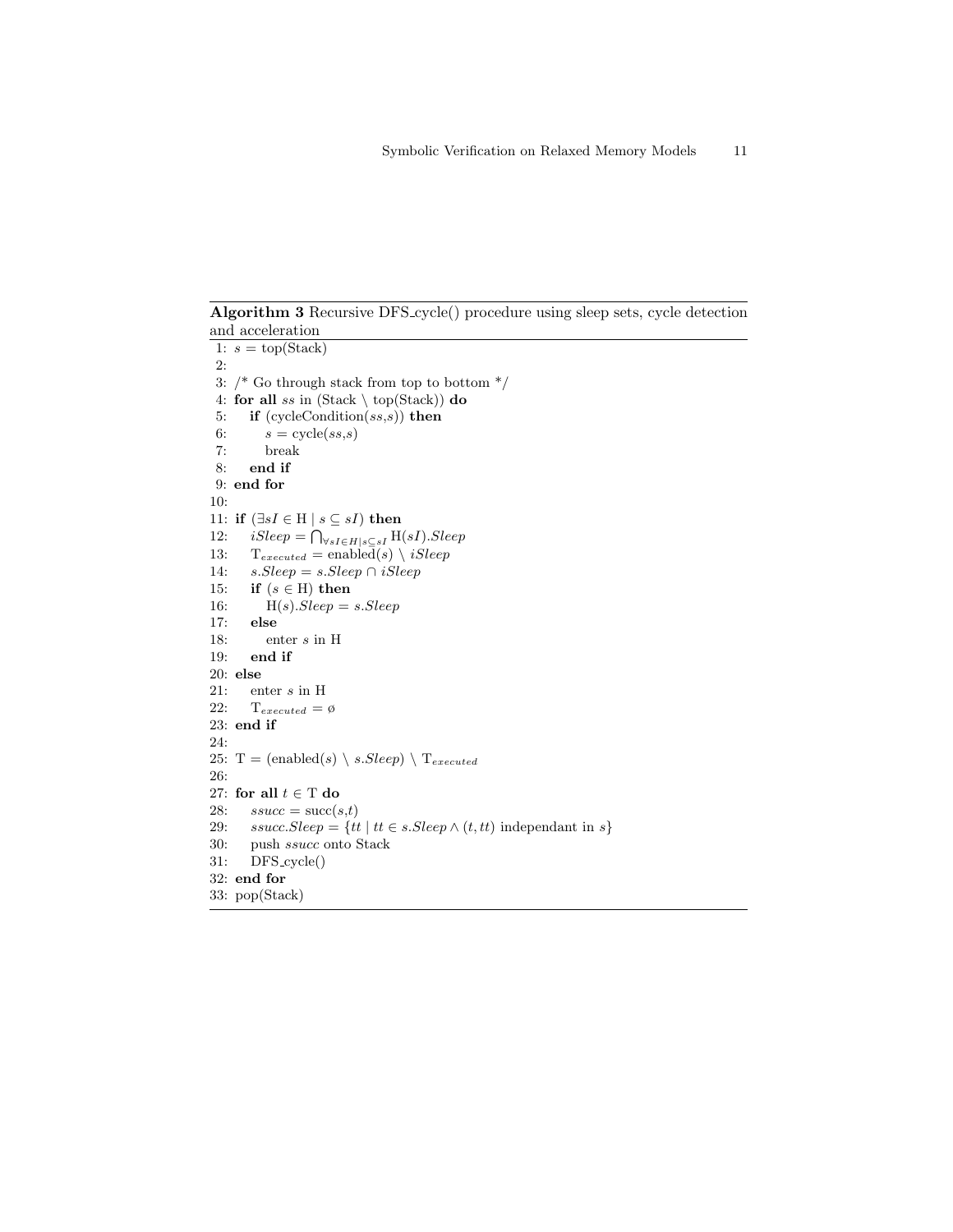Algorithm 3 Recursive DFS cycle() procedure using sleep sets, cycle detection

```
and acceleration
 1: s = \text{top}(\text{Stack})2:
 3: /* Go through stack from top to bottom */4: for all ss in (Stack \ top(Stack)) do
 5: if (cycleCondition(ss,s)) then
 6: s = cycle(ss,s)7: break
 8: end if
 9: end for
10:
11: if (\exists sI \in H \mid s \subseteq sI) then
12: iSleep = \bigcap_{\forall sI \in H | s \subseteq sI} H(sI).sleep13: T_{executed} = \text{enabled}(s) \setminus iSleep14: s.Sleep = s.Sleep \cap iSleep15: if (s \in H) then
16: H(s).Sleep = s.Sleep17: else
18: enter s in H
19: end if
20: else
21: enter s in H
22: T_{executed} = \emptyset23: end if
24:
25: T = (enabled(s) \ s. Sleep) \ T_{executed}26:
27: for all t\in\mathcal{T} do
28: ssucc = succ(s,t)<br>29: ssucc.Sleep = \{ttssucc.Sleep = \{tt \mid tt \in s.Sleep \land (t,tt) \text{ independent in } s\}30: push ssucc onto Stack
31: DFS cycle()
32: end for
33: pop(Stack)
```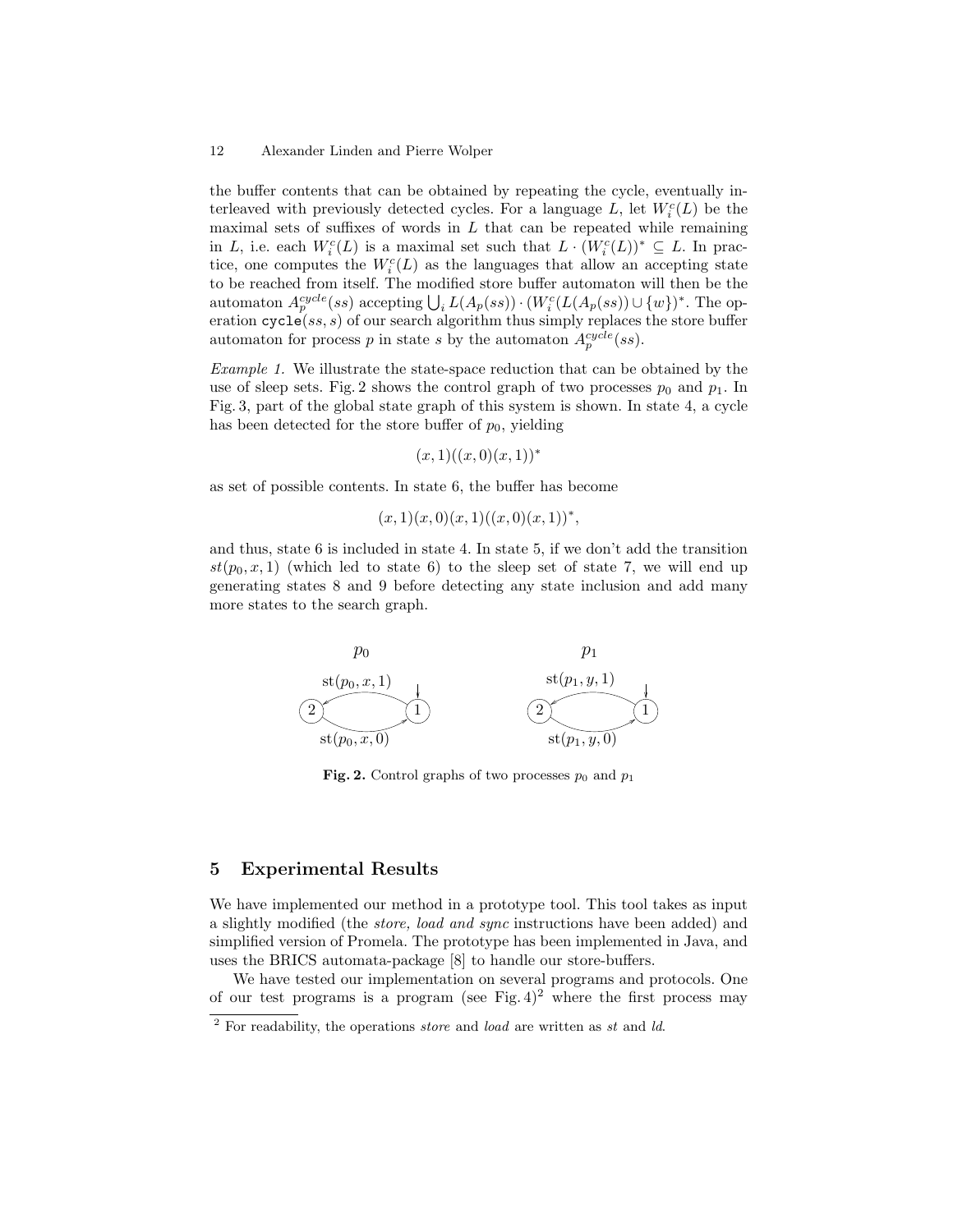the buffer contents that can be obtained by repeating the cycle, eventually interleaved with previously detected cycles. For a language  $L$ , let  $W_i^c(L)$  be the maximal sets of suffixes of words in  $L$  that can be repeated while remaining in L, i.e. each  $W_i^c(L)$  is a maximal set such that  $L \cdot (W_i^c(L))^* \subseteq L$ . In practice, one computes the  $W_i^c(L)$  as the languages that allow an accepting state to be reached from itself. The modified store buffer automaton will then be the automaton  $A_p^{cycle}(ss)$  accepting  $\bigcup_i L(A_p(ss)) \cdot (W_i^c(L(A_p(ss))) \cup \{w\})^*$ . The operation  $\text{cyclic}(ss, s)$  of our search algorithm thus simply replaces the store buffer automaton for process p in state s by the automaton  $A_p^{cycle}(ss)$ .

Example 1. We illustrate the state-space reduction that can be obtained by the use of sleep sets. Fig. 2 shows the control graph of two processes  $p_0$  and  $p_1$ . In Fig. 3, part of the global state graph of this system is shown. In state 4, a cycle has been detected for the store buffer of  $p_0$ , yielding

$$
(x, 1)((x, 0)(x, 1))^{*}
$$

as set of possible contents. In state 6, the buffer has become

$$
(x, 1)(x, 0)(x, 1)((x, 0)(x, 1))^{*}
$$
,

and thus, state 6 is included in state 4. In state 5, if we don't add the transition  $st(p_0, x, 1)$  (which led to state 6) to the sleep set of state 7, we will end up generating states 8 and 9 before detecting any state inclusion and add many more states to the search graph.



Fig. 2. Control graphs of two processes  $p_0$  and  $p_1$ 

# 5 Experimental Results

We have implemented our method in a prototype tool. This tool takes as input a slightly modified (the store, load and sync instructions have been added) and simplified version of Promela. The prototype has been implemented in Java, and uses the BRICS automata-package [8] to handle our store-buffers.

We have tested our implementation on several programs and protocols. One of our test programs is a program (see Fig. 4)<sup>2</sup> where the first process may

 $\frac{2}{7}$  For readability, the operations *store* and *load* are written as st and *ld*.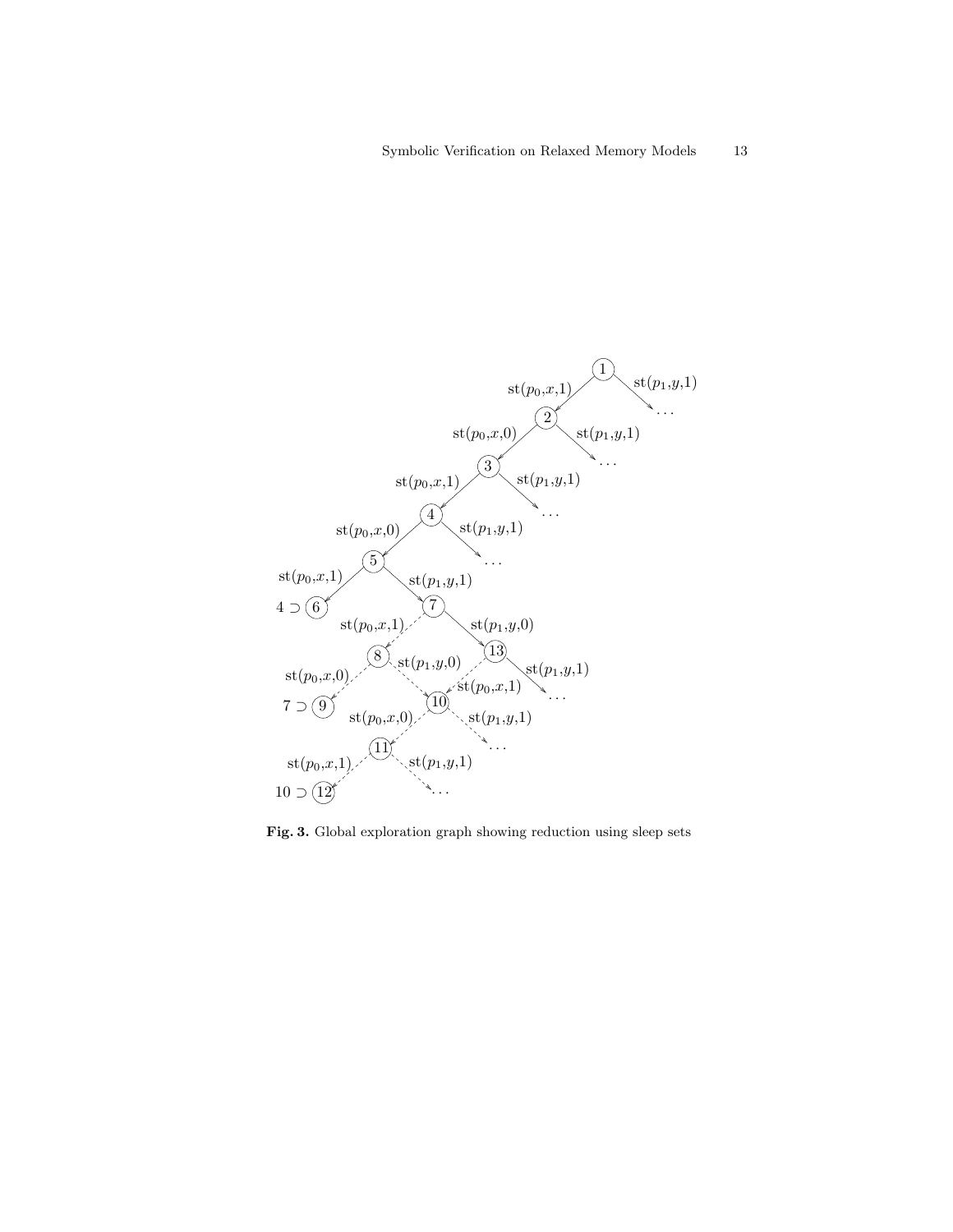

Fig. 3. Global exploration graph showing reduction using sleep sets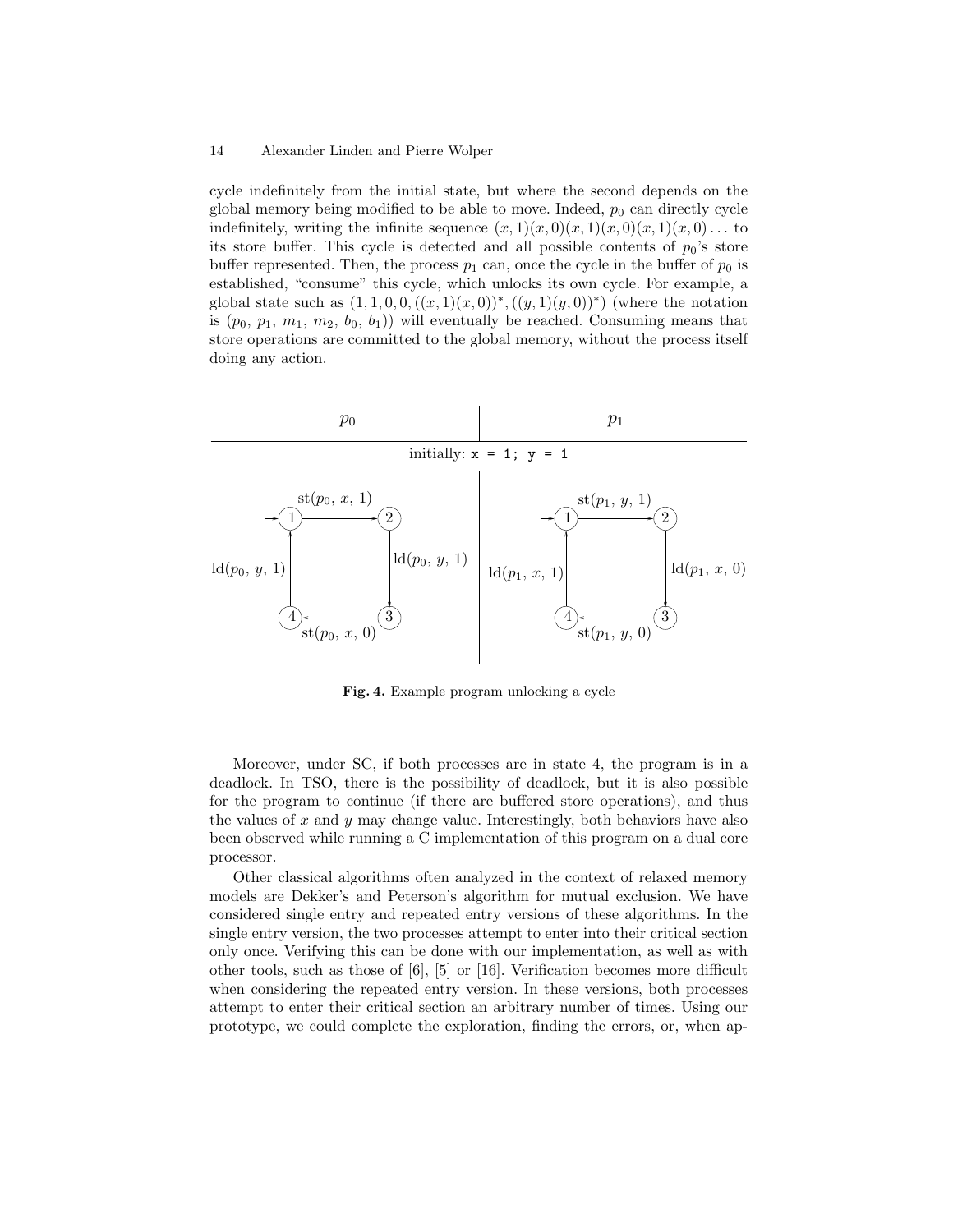cycle indefinitely from the initial state, but where the second depends on the global memory being modified to be able to move. Indeed,  $p_0$  can directly cycle indefinitely, writing the infinite sequence  $(x, 1)(x, 0)(x, 1)(x, 0)(x, 1)(x, 0) \dots$  to its store buffer. This cycle is detected and all possible contents of  $p_0$ 's store buffer represented. Then, the process  $p_1$  can, once the cycle in the buffer of  $p_0$  is established, "consume" this cycle, which unlocks its own cycle. For example, a global state such as  $(1, 1, 0, 0, ((x, 1)(x, 0))^*, ((y, 1)(y, 0))^*)$  (where the notation is  $(p_0, p_1, m_1, m_2, b_0, b_1)$  will eventually be reached. Consuming means that store operations are committed to the global memory, without the process itself doing any action.



Fig. 4. Example program unlocking a cycle

Moreover, under SC, if both processes are in state 4, the program is in a deadlock. In TSO, there is the possibility of deadlock, but it is also possible for the program to continue (if there are buffered store operations), and thus the values of  $x$  and  $y$  may change value. Interestingly, both behaviors have also been observed while running a C implementation of this program on a dual core processor.

Other classical algorithms often analyzed in the context of relaxed memory models are Dekker's and Peterson's algorithm for mutual exclusion. We have considered single entry and repeated entry versions of these algorithms. In the single entry version, the two processes attempt to enter into their critical section only once. Verifying this can be done with our implementation, as well as with other tools, such as those of [6], [5] or [16]. Verification becomes more difficult when considering the repeated entry version. In these versions, both processes attempt to enter their critical section an arbitrary number of times. Using our prototype, we could complete the exploration, finding the errors, or, when ap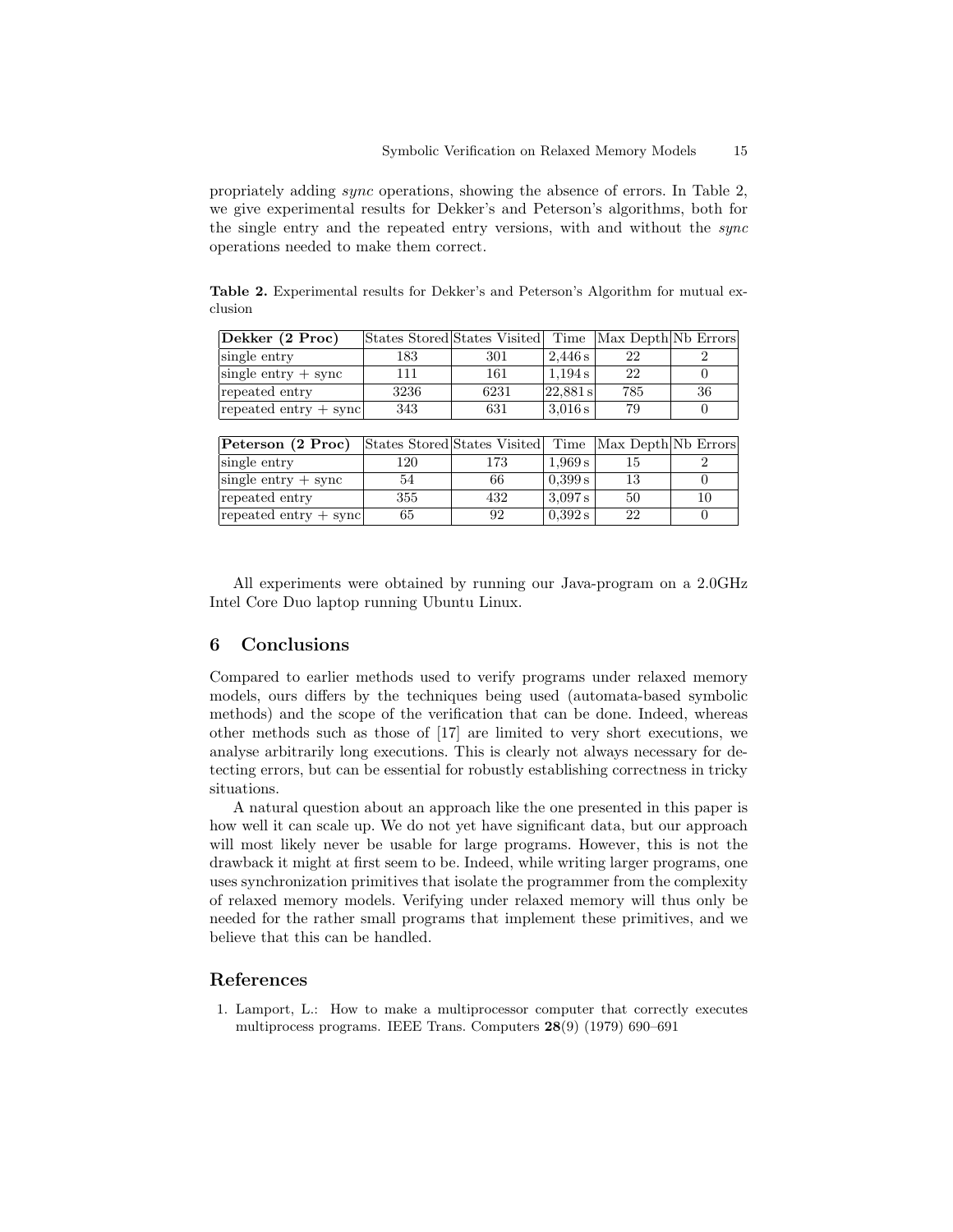propriately adding sync operations, showing the absence of errors. In Table 2, we give experimental results for Dekker's and Peterson's algorithms, both for the single entry and the repeated entry versions, with and without the sync operations needed to make them correct.

Table 2. Experimental results for Dekker's and Peterson's Algorithm for mutual exclusion

| Dekker (2 Proc)              |      | States Stored States Visited Time Max Depth Nb Errors |          |     |    |
|------------------------------|------|-------------------------------------------------------|----------|-----|----|
| single entry                 | 183  | 301                                                   | 2.446 s  | 22  |    |
| $\sin \theta$ entry $+$ sync | 111  | 161                                                   | 1,194s   | 22  |    |
| repeated entry               | 3236 | 6231                                                  | 22,881 s | 785 | 36 |
| repeated entry $+$ sync      | 343  | 631                                                   | 3.016 s  | 79  |    |

| Peterson (2 Proc)            |     | States Stored States Visited Time Max Depth Nb Errors |         |    |    |
|------------------------------|-----|-------------------------------------------------------|---------|----|----|
| single entry                 | 120 | 173                                                   | 1.969 s |    |    |
| $\sin \theta$ entry $+$ sync | 54  | 66                                                    | 0.399 s | 13 |    |
| repeated entry               | 355 | 432                                                   | 3.097 s | 50 | 10 |
| repeated entry $+$ sync      | 65  | 92                                                    | 0.392 s | 22 |    |

All experiments were obtained by running our Java-program on a 2.0GHz Intel Core Duo laptop running Ubuntu Linux.

# 6 Conclusions

Compared to earlier methods used to verify programs under relaxed memory models, ours differs by the techniques being used (automata-based symbolic methods) and the scope of the verification that can be done. Indeed, whereas other methods such as those of [17] are limited to very short executions, we analyse arbitrarily long executions. This is clearly not always necessary for detecting errors, but can be essential for robustly establishing correctness in tricky situations.

A natural question about an approach like the one presented in this paper is how well it can scale up. We do not yet have significant data, but our approach will most likely never be usable for large programs. However, this is not the drawback it might at first seem to be. Indeed, while writing larger programs, one uses synchronization primitives that isolate the programmer from the complexity of relaxed memory models. Verifying under relaxed memory will thus only be needed for the rather small programs that implement these primitives, and we believe that this can be handled.

## References

1. Lamport, L.: How to make a multiprocessor computer that correctly executes multiprocess programs. IEEE Trans. Computers 28(9) (1979) 690–691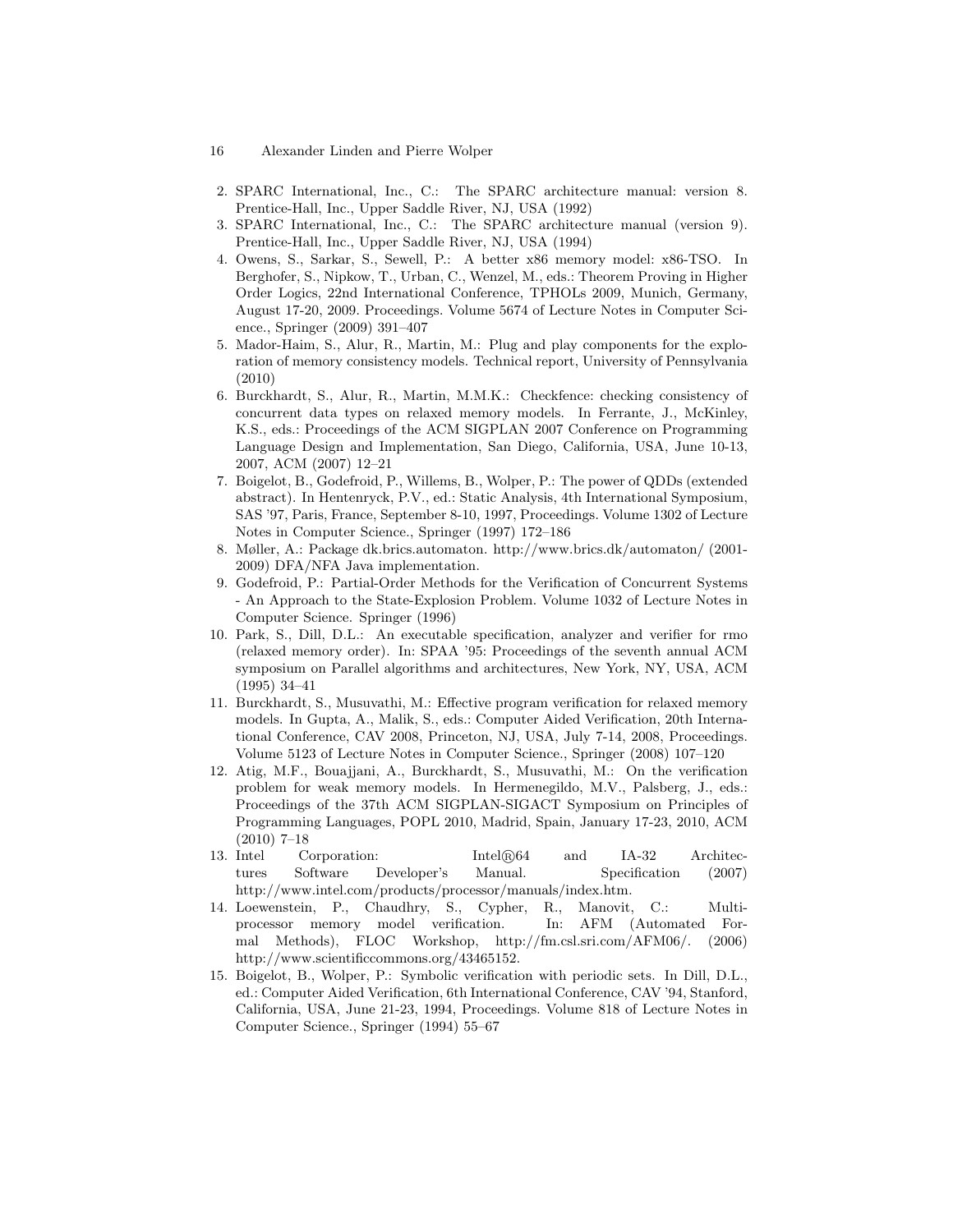- 2. SPARC International, Inc., C.: The SPARC architecture manual: version 8. Prentice-Hall, Inc., Upper Saddle River, NJ, USA (1992)
- 3. SPARC International, Inc., C.: The SPARC architecture manual (version 9). Prentice-Hall, Inc., Upper Saddle River, NJ, USA (1994)
- 4. Owens, S., Sarkar, S., Sewell, P.: A better x86 memory model: x86-TSO. In Berghofer, S., Nipkow, T., Urban, C., Wenzel, M., eds.: Theorem Proving in Higher Order Logics, 22nd International Conference, TPHOLs 2009, Munich, Germany, August 17-20, 2009. Proceedings. Volume 5674 of Lecture Notes in Computer Science., Springer (2009) 391–407
- 5. Mador-Haim, S., Alur, R., Martin, M.: Plug and play components for the exploration of memory consistency models. Technical report, University of Pennsylvania (2010)
- 6. Burckhardt, S., Alur, R., Martin, M.M.K.: Checkfence: checking consistency of concurrent data types on relaxed memory models. In Ferrante, J., McKinley, K.S., eds.: Proceedings of the ACM SIGPLAN 2007 Conference on Programming Language Design and Implementation, San Diego, California, USA, June 10-13, 2007, ACM (2007) 12–21
- 7. Boigelot, B., Godefroid, P., Willems, B., Wolper, P.: The power of QDDs (extended abstract). In Hentenryck, P.V., ed.: Static Analysis, 4th International Symposium, SAS '97, Paris, France, September 8-10, 1997, Proceedings. Volume 1302 of Lecture Notes in Computer Science., Springer (1997) 172–186
- 8. Møller, A.: Package dk.brics.automaton. http://www.brics.dk/automaton/ (2001- 2009) DFA/NFA Java implementation.
- 9. Godefroid, P.: Partial-Order Methods for the Verification of Concurrent Systems - An Approach to the State-Explosion Problem. Volume 1032 of Lecture Notes in Computer Science. Springer (1996)
- 10. Park, S., Dill, D.L.: An executable specification, analyzer and verifier for rmo (relaxed memory order). In: SPAA '95: Proceedings of the seventh annual ACM symposium on Parallel algorithms and architectures, New York, NY, USA, ACM (1995) 34–41
- 11. Burckhardt, S., Musuvathi, M.: Effective program verification for relaxed memory models. In Gupta, A., Malik, S., eds.: Computer Aided Verification, 20th International Conference, CAV 2008, Princeton, NJ, USA, July 7-14, 2008, Proceedings. Volume 5123 of Lecture Notes in Computer Science., Springer (2008) 107–120
- 12. Atig, M.F., Bouajjani, A., Burckhardt, S., Musuvathi, M.: On the verification problem for weak memory models. In Hermenegildo, M.V., Palsberg, J., eds.: Proceedings of the 37th ACM SIGPLAN-SIGACT Symposium on Principles of Programming Languages, POPL 2010, Madrid, Spain, January 17-23, 2010, ACM (2010) 7–18
- 13. Intel Corporation: Intel®64 and IA-32 Architectures Software Developer's Manual. Specification (2007) http://www.intel.com/products/processor/manuals/index.htm.
- 14. Loewenstein, P., Chaudhry, S., Cypher, R., Manovit, C.: Multiprocessor memory model verification. In: AFM (Automated Formal Methods), FLOC Workshop, http://fm.csl.sri.com/AFM06/. (2006) http://www.scientificcommons.org/43465152.
- 15. Boigelot, B., Wolper, P.: Symbolic verification with periodic sets. In Dill, D.L., ed.: Computer Aided Verification, 6th International Conference, CAV '94, Stanford, California, USA, June 21-23, 1994, Proceedings. Volume 818 of Lecture Notes in Computer Science., Springer (1994) 55–67

<sup>16</sup> Alexander Linden and Pierre Wolper